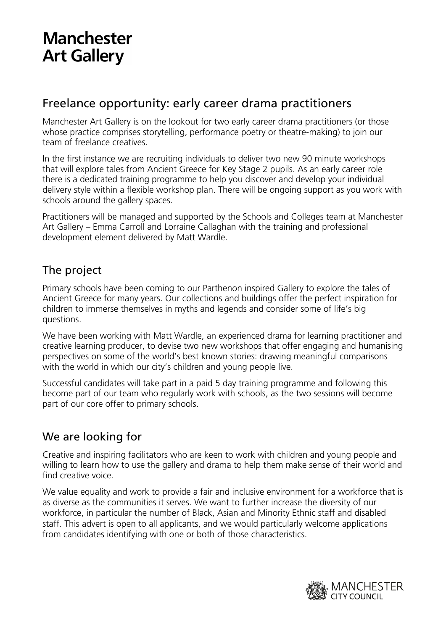# **Manchester Art Gallery**

## Freelance opportunity: early career drama practitioners

Manchester Art Gallery is on the lookout for two early career drama practitioners (or those whose practice comprises storytelling, performance poetry or theatre-making) to join our team of freelance creatives.

In the first instance we are recruiting individuals to deliver two new 90 minute workshops that will explore tales from Ancient Greece for Key Stage 2 pupils. As an early career role there is a dedicated training programme to help you discover and develop your individual delivery style within a flexible workshop plan. There will be ongoing support as you work with schools around the gallery spaces.

Practitioners will be managed and supported by the Schools and Colleges team at Manchester Art Gallery – Emma Carroll and Lorraine Callaghan with the training and professional development element delivered by Matt Wardle.

## The project

Primary schools have been coming to our Parthenon inspired Gallery to explore the tales of Ancient Greece for many years. Our collections and buildings offer the perfect inspiration for children to immerse themselves in myths and legends and consider some of life's big questions.

We have been working with Matt Wardle, an experienced drama for learning practitioner and creative learning producer, to devise two new workshops that offer engaging and humanising perspectives on some of the world's best known stories: drawing meaningful comparisons with the world in which our city's children and young people live.

Successful candidates will take part in a paid 5 day training programme and following this become part of our team who regularly work with schools, as the two sessions will become part of our core offer to primary schools.

## We are looking for

Creative and inspiring facilitators who are keen to work with children and young people and willing to learn how to use the gallery and drama to help them make sense of their world and find creative voice.

We value equality and work to provide a fair and inclusive environment for a workforce that is as diverse as the communities it serves. We want to further increase the diversity of our workforce, in particular the number of Black, Asian and Minority Ethnic staff and disabled staff. This advert is open to all applicants, and we would particularly welcome applications from candidates identifying with one or both of those characteristics.

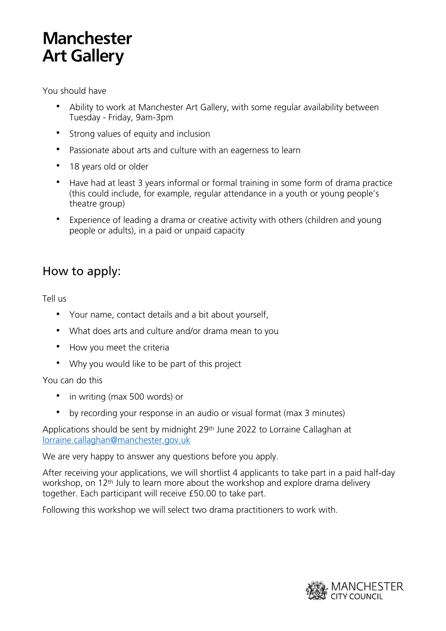# **Manchester Art Gallery**

You should have

- Ability to work at Manchester Art Gallery, with some regular availability between Tuesday - Friday, 9am-3pm
- Strong values of equity and inclusion
- Passionate about arts and culture with an eagerness to learn
- 18 years old or older
- Have had at least 3 years informal or formal training in some form of drama practice (this could include, for example, regular attendance in a youth or young people's theatre group)
- Experience of leading a drama or creative activity with others (children and young people or adults), in a paid or unpaid capacity

## How to apply:

Tell us

- Your name, contact details and a bit about yourself,
- What does arts and culture and/or drama mean to you
- How you meet the criteria
- Why you would like to be part of this project

#### You can do this

- in writing (max 500 words) or
- by recording your response in an audio or visual format (max 3 minutes)

Applications should be sent by midnight 29th June 2022 to Lorraine Callaghan at [lorraine.callaghan@manchester.gov.uk](mailto:lorraine.callaghan@manchester.gov.uk)

We are very happy to answer any questions before you apply.

After receiving your applications, we will shortlist 4 applicants to take part in a paid half-day workshop, on 12th July to learn more about the workshop and explore drama delivery together. Each participant will receive £50.00 to take part.

Following this workshop we will select two drama practitioners to work with.